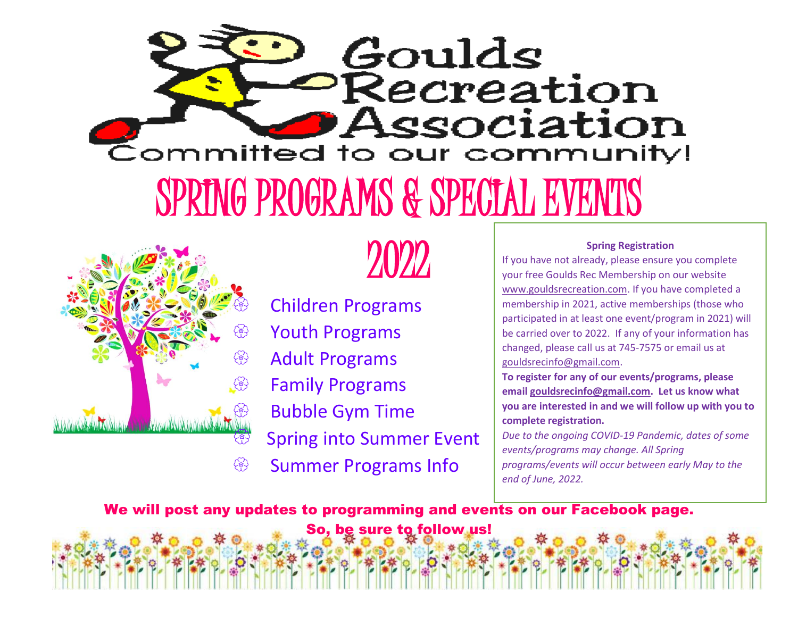



2022

 Children Programs <sup>≫</sup> Youth Programs <sup><sup>2</sup> Adult Programs</sup> Family Programs Bubble Gym Time Spring into Summer Event <sup>
®</sup> Summer Programs Info

#### **Spring Registration**

If you have not already, please ensure you complete your free Goulds Rec Membership on our website [www.gouldsrecreation.com.](http://www.gouldsrecreation.com/) If you have completed a membership in 2021, active memberships (those who participated in at least one event/program in 2021) will be carried over to 2022. If any of your information has changed, please call us at 745-7575 or email us at [gouldsrecinfo@gmail.com.](mailto:gouldsrecinfo@gmail.com)

**To register for any of our events/programs, please email [gouldsrecinfo@gmail.com.](mailto:gouldsrecinfo@gmail.com) Let us know what you are interested in and we will follow up with you to complete registration.** 

*Due to the ongoing COVID-19 Pandemic, dates of some events/programs may change. All Spring programs/events will occur between early May to the end of June, 2022.*

We will post any updates to programming and events on our Facebook page.

So, be sure to follow us!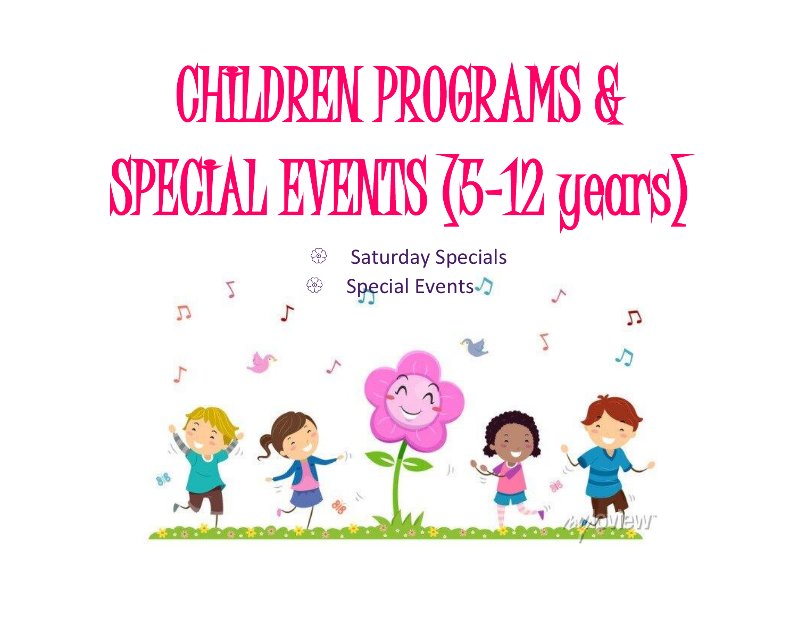# CHILDREN PROGRAMS & SPECIAL EVENTS (5-12 years)

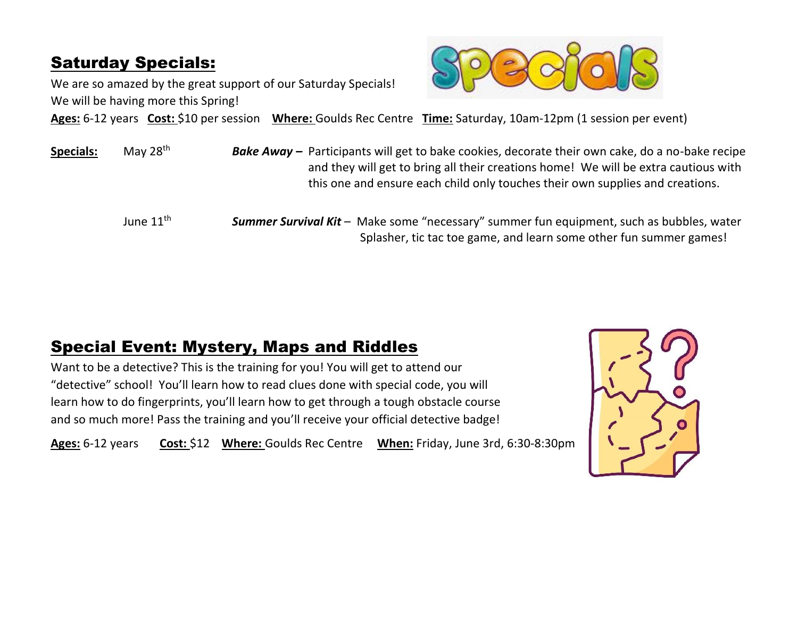#### Saturday Specials:

We are so amazed by the great support of our Saturday Specials! We will be having more this Spring!



**Ages:** 6-12 years **Cost:** \$10 per session **Where:** Goulds Rec Centre **Time:** Saturday, 10am-12pm (1 session per event)

| <b>Specials:</b> | May 28 <sup>th</sup>  | <b>Bake Away</b> – Participants will get to bake cookies, decorate their own cake, do a no-bake recipe<br>and they will get to bring all their creations home! We will be extra cautious with<br>this one and ensure each child only touches their own supplies and creations. |
|------------------|-----------------------|--------------------------------------------------------------------------------------------------------------------------------------------------------------------------------------------------------------------------------------------------------------------------------|
|                  | June $11^{\text{th}}$ | <b>Summer Survival Kit</b> - Make some "necessary" summer fun equipment, such as bubbles, water<br>Splasher, tic tac toe game, and learn some other fun summer games!                                                                                                          |

#### Special Event: Mystery, Maps and Riddles

Want to be a detective? This is the training for you! You will get to attend our "detective" school! You'll learn how to read clues done with special code, you will learn how to do fingerprints, you'll learn how to get through a tough obstacle course and so much more! Pass the training and you'll receive your official detective badge!

**Ages:** 6-12 years **Cost:** \$12 **Where:** Goulds Rec Centre **When:** Friday, June 3rd, 6:30-8:30pm

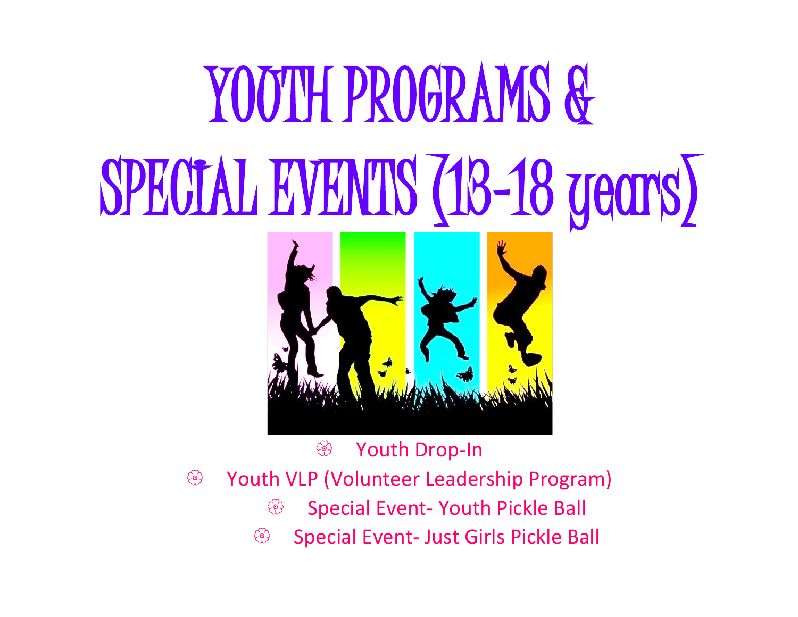# YOUTH PROGRAMS & SPECIAL EVENTS (18-18 years)

**<sup><sup>5</sup>**</sup> Youth Drop-In Youth VLP (Volunteer Leadership Program) **Special Event- Youth Pickle Ball Some Special Event- Just Girls Pickle Ball**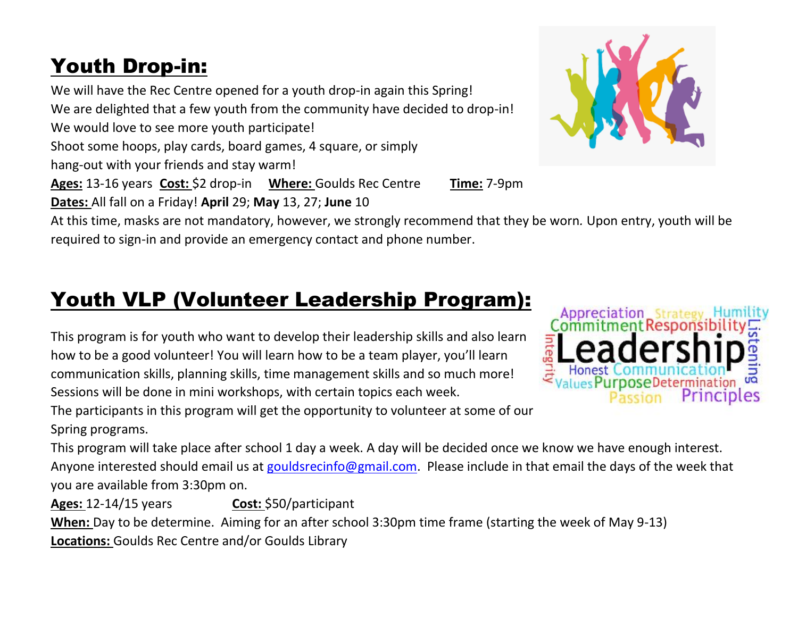#### Youth Drop-in:

We will have the Rec Centre opened for a youth drop-in again this Spring!

We are delighted that a few youth from the community have decided to drop-in!

We would love to see more youth participate!

Shoot some hoops, play cards, board games, 4 square, or simply

hang-out with your friends and stay warm!

**Ages:** 13-16 years **Cost:** \$2 drop-in **Where:** Goulds Rec Centre **Time:** 7-9pm

**Dates:** All fall on a Friday! **April** 29; **May** 13, 27; **June** 10

At this time, masks are not mandatory, however, we strongly recommend that they be worn*.* Upon entry, youth will be required to sign-in and provide an emergency contact and phone number.

#### Youth VLP (Volunteer Leadership Program):

This program is for youth who want to develop their leadership skills and also learn how to be a good volunteer! You will learn how to be a team player, you'll learn communication skills, planning skills, time management skills and so much more! Sessions will be done in mini workshops, with certain topics each week.

The participants in this program will get the opportunity to volunteer at some of our Spring programs.

This program will take place after school 1 day a week. A day will be decided once we know we have enough interest. Anyone interested should email us at [gouldsrecinfo@gmail.com.](mailto:gouldsrecinfo@gmail.com) Please include in that email the days of the week that you are available from 3:30pm on.

Ages: 12-14/15 years **Cost:** \$50/participant **When:** Day to be determine. Aiming for an after school 3:30pm time frame (starting the week of May 9-13) **Locations:** Goulds Rec Centre and/or Goulds Library



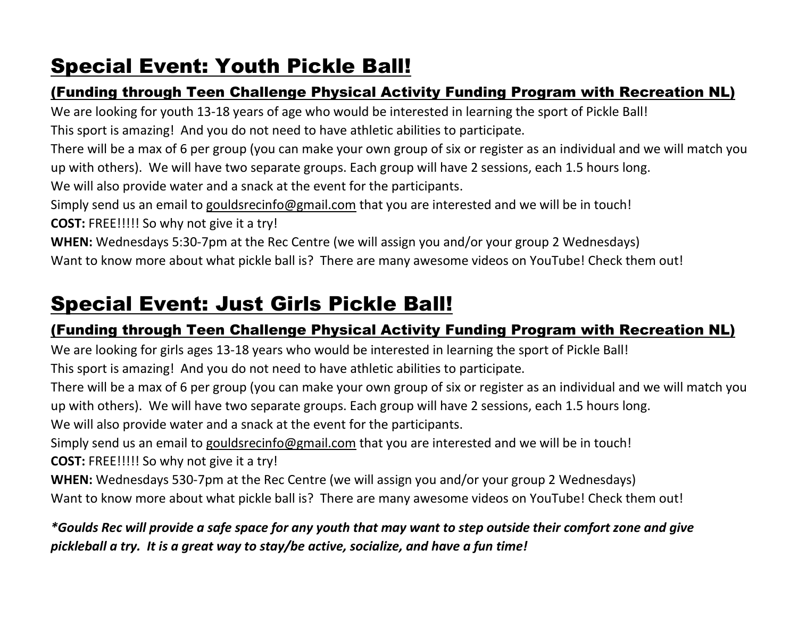#### Special Event: Youth Pickle Ball!

#### (Funding through Teen Challenge Physical Activity Funding Program with Recreation NL)

We are looking for youth 13-18 years of age who would be interested in learning the sport of Pickle Ball!

This sport is amazing! And you do not need to have athletic abilities to participate.

There will be a max of 6 per group (you can make your own group of six or register as an individual and we will match you up with others). We will have two separate groups. Each group will have 2 sessions, each 1.5 hours long.

We will also provide water and a snack at the event for the participants.

Simply send us an email to [gouldsrecinfo@gmail.com](mailto:gouldsrecinfo@gmail.com) that you are interested and we will be in touch!

**COST:** FREE!!!!! So why not give it a try!

**WHEN:** Wednesdays 5:30-7pm at the Rec Centre (we will assign you and/or your group 2 Wednesdays) Want to know more about what pickle ball is? There are many awesome videos on YouTube! Check them out!

#### Special Event: Just Girls Pickle Ball!

#### (Funding through Teen Challenge Physical Activity Funding Program with Recreation NL)

We are looking for girls ages 13-18 years who would be interested in learning the sport of Pickle Ball!

This sport is amazing! And you do not need to have athletic abilities to participate.

There will be a max of 6 per group (you can make your own group of six or register as an individual and we will match you up with others). We will have two separate groups. Each group will have 2 sessions, each 1.5 hours long. We will also provide water and a snack at the event for the participants.

Simply send us an email to [gouldsrecinfo@gmail.com](mailto:gouldsrecinfo@gmail.com) that you are interested and we will be in touch! **COST:** FREE!!!!! So why not give it a try!

**WHEN:** Wednesdays 530-7pm at the Rec Centre (we will assign you and/or your group 2 Wednesdays) Want to know more about what pickle ball is? There are many awesome videos on YouTube! Check them out!

*\*Goulds Rec will provide a safe space for any youth that may want to step outside their comfort zone and give pickleball a try. It is a great way to stay/be active, socialize, and have a fun time!*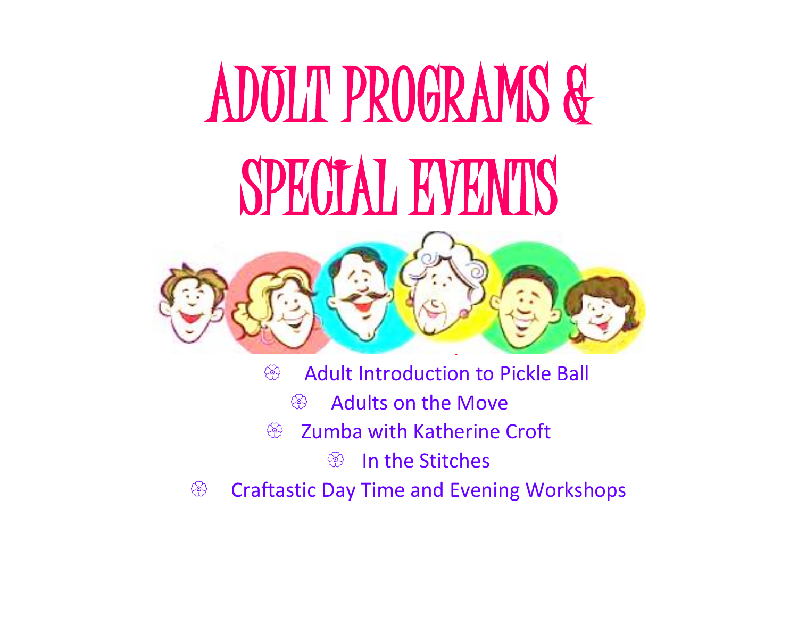# ADULT PROGRAMS & SPECIAL EVENTS



- Adult Introduction to Pickle Ball
	- <sup><sup><sup>8</sup></sup> Adults on the Move</sup>
- <sup><sup>2</sup> Zumba with Katherine Croft</sup>
	- <sup><sup>3</sup> In the Stitches</sup>
- Craftastic Day Time and Evening Workshops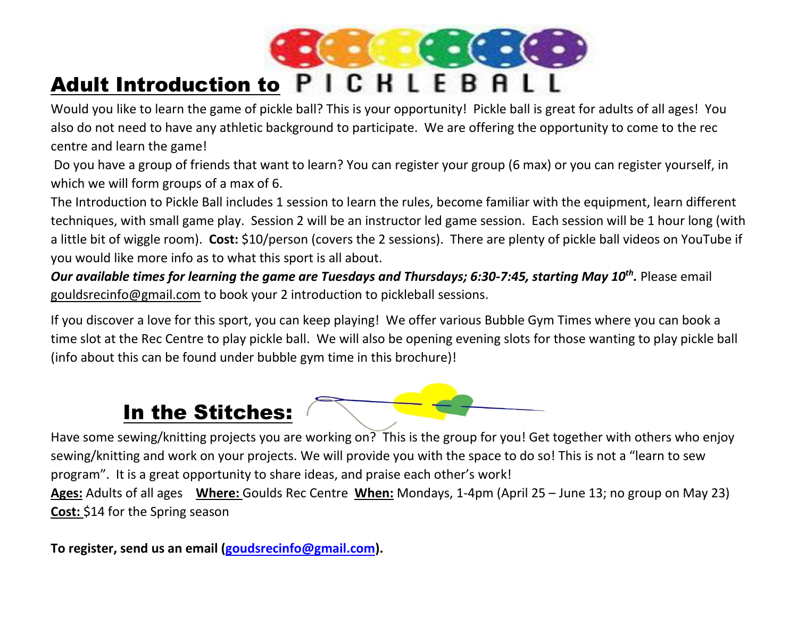

Would you like to learn the game of pickle ball? This is your opportunity! Pickle ball is great for adults of all ages! You also do not need to have any athletic background to participate. We are offering the opportunity to come to the rec centre and learn the game!

Do you have a group of friends that want to learn? You can register your group (6 max) or you can register yourself, in which we will form groups of a max of 6.

The Introduction to Pickle Ball includes 1 session to learn the rules, become familiar with the equipment, learn different techniques, with small game play. Session 2 will be an instructor led game session. Each session will be 1 hour long (with a little bit of wiggle room). **Cost:** \$10/person (covers the 2 sessions). There are plenty of pickle ball videos on YouTube if you would like more info as to what this sport is all about.

*Our available times for learning the game are Tuesdays and Thursdays; 6:30-7:45, starting May 10th .* Please email [gouldsrecinfo@gmail.com](mailto:gouldsrecinfo@gmail.com) to book your 2 introduction to pickleball sessions.

If you discover a love for this sport, you can keep playing! We offer various Bubble Gym Times where you can book a time slot at the Rec Centre to play pickle ball. We will also be opening evening slots for those wanting to play pickle ball (info about this can be found under bubble gym time in this brochure)!

#### In the Stitches:



Have some sewing/knitting projects you are working on? This is the group for you! Get together with others who enjoy sewing/knitting and work on your projects. We will provide you with the space to do so! This is not a "learn to sew program". It is a great opportunity to share ideas, and praise each other's work! **Ages:** Adults of all ages **Where:** Goulds Rec Centre **When:** Mondays, 1-4pm (April 25 – June 13; no group on May 23)

**Cost:** \$14 for the Spring season

**To register, send us an email [\(goudsrecinfo@gmail.com\)](mailto:goudsrecinfo@gmail.com).**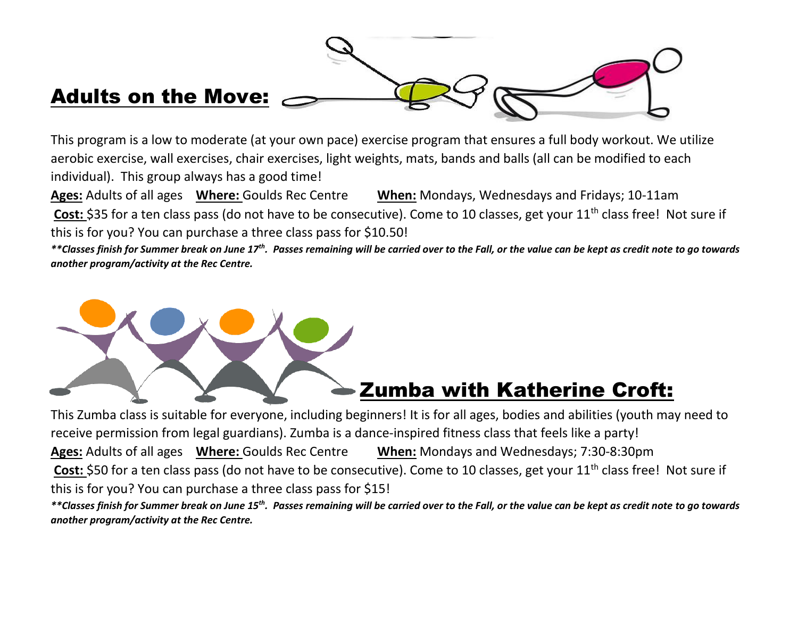

This program is a low to moderate (at your own pace) exercise program that ensures a full body workout. We utilize aerobic exercise, wall exercises, chair exercises, light weights, mats, bands and balls (all can be modified to each individual). This group always has a good time!

**Ages:** Adults of all ages **Where:** Goulds Rec Centre **When:** Mondays, Wednesdays and Fridays; 10-11am Cost: \$35 for a ten class pass (do not have to be consecutive). Come to 10 classes, get your 11<sup>th</sup> class free! Not sure if this is for you? You can purchase a three class pass for \$10.50!

*\*\*Classes finish for Summer break on June 17th. Passes remaining will be carried over to the Fall, or the value can be kept as credit note to go towards another program/activity at the Rec Centre.* 



#### Zumba with Katherine Croft:

This Zumba class is suitable for everyone, including beginners! It is for all ages, bodies and abilities (youth may need to receive permission from legal guardians). Zumba is a dance-inspired fitness class that feels like a party! **Ages:** Adults of all ages **Where:** Goulds Rec Centre **When:** Mondays and Wednesdays; 7:30-8:30pm Cost: \$50 for a ten class pass (do not have to be consecutive). Come to 10 classes, get your 11<sup>th</sup> class free! Not sure if this is for you? You can purchase a three class pass for \$15!

*\*\*Classes finish for Summer break on June 15th. Passes remaining will be carried over to the Fall, or the value can be kept as credit note to go towards another program/activity at the Rec Centre.*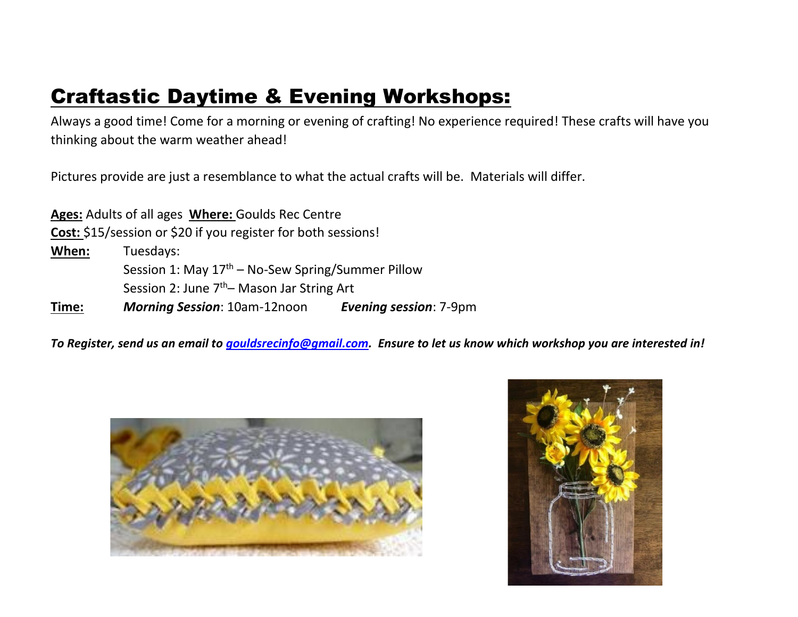#### Craftastic Daytime & Evening Workshops:

Always a good time! Come for a morning or evening of crafting! No experience required! These crafts will have you thinking about the warm weather ahead!

Pictures provide are just a resemblance to what the actual crafts will be. Materials will differ.

**Ages:** Adults of all ages **Where:** Goulds Rec Centre **Cost:** \$15/session or \$20 if you register for both sessions! **When:** Tuesdays: Session 1: May  $17<sup>th</sup>$  – No-Sew Spring/Summer Pillow Session 2: June  $7<sup>th</sup>$ – Mason Jar String Art **Time:** *Morning Session*: 10am-12noon *Evening session*: 7-9pm

*To Register, send us an email to [gouldsrecinfo@gmail.com.](mailto:gouldsrecinfo@gmail.com) Ensure to let us know which workshop you are interested in!* 



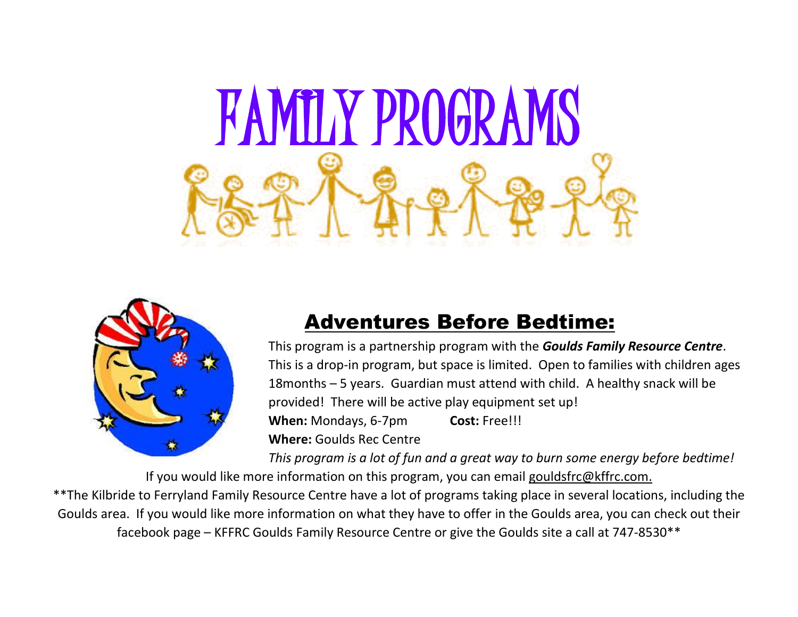



#### Adventures Before Bedtime:

This program is a partnership program with the *Goulds Family Resource Centre*. This is a drop-in program, but space is limited. Open to families with children ages 18months – 5 years. Guardian must attend with child. A healthy snack will be provided! There will be active play equipment set up! **When:** Mondays, 6-7pm **Cost:** Free!!! **Where:** Goulds Rec Centre

*This program is a lot of fun and a great way to burn some energy before bedtime!*

If you would like more information on this program, you can email [gouldsfrc@kffrc.com.](mailto:gouldsfrc@kffrc.com) \*\*The Kilbride to Ferryland Family Resource Centre have a lot of programs taking place in several locations, including the Goulds area. If you would like more information on what they have to offer in the Goulds area, you can check out their facebook page – KFFRC Goulds Family Resource Centre or give the Goulds site a call at 747-8530\*\*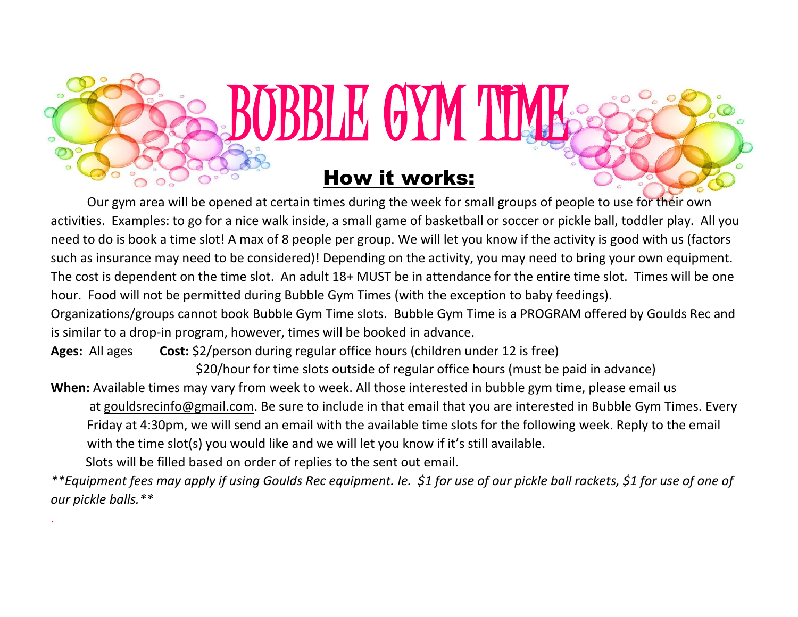

.

#### How it works:

BBLE GYM TI

Our gym area will be opened at certain times during the week for small groups of people to use for their own activities. Examples: to go for a nice walk inside, a small game of basketball or soccer or pickle ball, toddler play. All you need to do is book a time slot! A max of 8 people per group. We will let you know if the activity is good with us (factors such as insurance may need to be considered)! Depending on the activity, you may need to bring your own equipment. The cost is dependent on the time slot. An adult 18+ MUST be in attendance for the entire time slot. Times will be one hour. Food will not be permitted during Bubble Gym Times (with the exception to baby feedings).

Organizations/groups cannot book Bubble Gym Time slots. Bubble Gym Time is a PROGRAM offered by Goulds Rec and is similar to a drop-in program, however, times will be booked in advance.

**Ages:** All ages **Cost:** \$2/person during regular office hours (children under 12 is free)

\$20/hour for time slots outside of regular office hours (must be paid in advance)

**When:** Available times may vary from week to week. All those interested in bubble gym time, please email us at [gouldsrecinfo@gmail.com.](mailto:gouldsrecinfo@gmail.com) Be sure to include in that email that you are interested in Bubble Gym Times. Every Friday at 4:30pm, we will send an email with the available time slots for the following week. Reply to the email with the time slot(s) you would like and we will let you know if it's still available.

Slots will be filled based on order of replies to the sent out email.

*\*\*Equipment fees may apply if using Goulds Rec equipment. Ie. \$1 for use of our pickle ball rackets, \$1 for use of one of our pickle balls.\*\**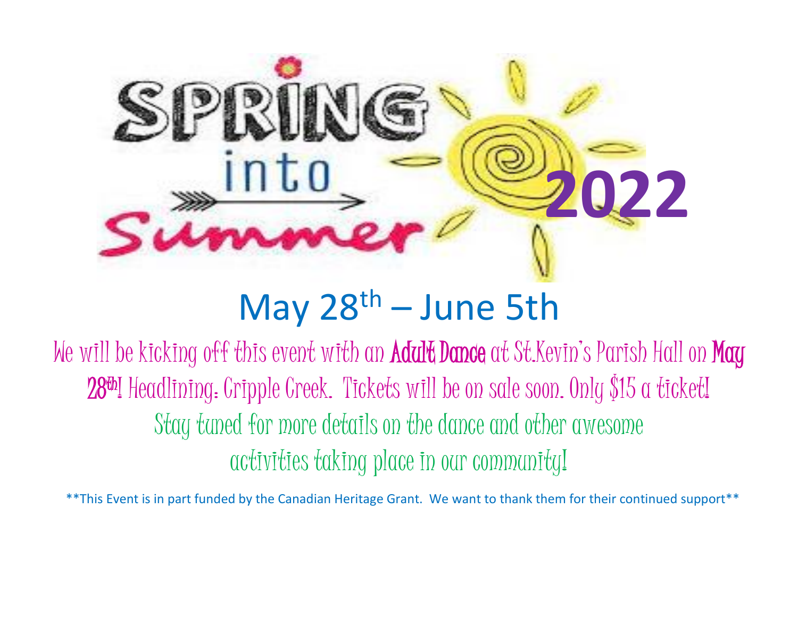

## May  $28<sup>th</sup> - June 5th$

We will be kicking off this event with an **Adult Dance** at St.Kevin's Parish Hall on **May** 28<sup>th</sup>! Headlining: Cripple Creek. Tickets will be on sale soon. Only \$15 a ticket! Stay tuned for more details on the dance and other awesome activities taking place in our community!

\*\*This Event is in part funded by the Canadian Heritage Grant. We want to thank them for their continued support\*\*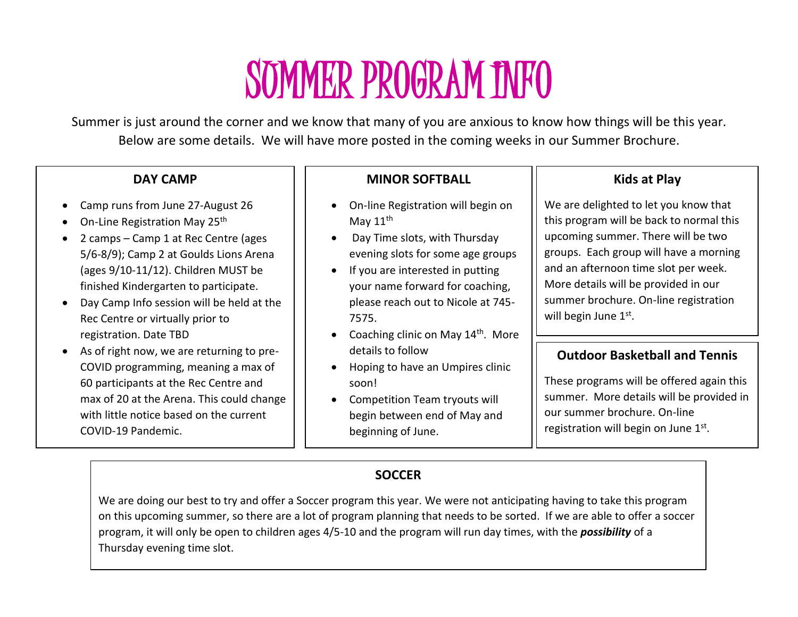## SUMMER PROGRAM INFO

Summer is just around the corner and we know that many of you are anxious to know how things will be this year. Below are some details. We will have more posted in the coming weeks in our Summer Brochure.

#### **DAY CAMP**

- Camp runs from June 27-August 26
- On-Line Registration May 25<sup>th</sup>
- 2 camps Camp 1 at Rec Centre (ages 5/6-8/9); Camp 2 at Goulds Lions Arena (ages 9/10-11/12). Children MUST be finished Kindergarten to participate.
- Day Camp Info session will be held at the Rec Centre or virtually prior to registration. Date TBD
- As of right now, we are returning to pre-COVID programming, meaning a max of 60 participants at the Rec Centre and max of 20 at the Arena. This could change with little notice based on the current COVID-19 Pandemic.

#### **MINOR SOFTBALL**

- On-line Registration will begin on May  $11^{\text{th}}$
- Day Time slots, with Thursday evening slots for some age groups
- If you are interested in putting your name forward for coaching, please reach out to Nicole at 745- 7575.
- Coaching clinic on May  $14<sup>th</sup>$ . More details to follow
- Hoping to have an Umpires clinic soon!
- Competition Team tryouts will begin between end of May and beginning of June.

#### **Kids at Play**

We are delighted to let you know that this program will be back to normal this upcoming summer. There will be two groups. Each group will have a morning and an afternoon time slot per week. More details will be provided in our summer brochure. On-line registration will begin June 1st.

#### **Outdoor Basketball and Tennis**

These programs will be offered again this summer. More details will be provided in our summer brochure. On-line registration will begin on June 1st.

#### **SOCCER**

We are doing our best to try and offer a Soccer program this year. We were not anticipating having to take this program on this upcoming summer, so there are a lot of program planning that needs to be sorted. If we are able to offer a soccer program, it will only be open to children ages 4/5-10 and the program will run day times, with the *possibility* of a Thursday evening time slot.